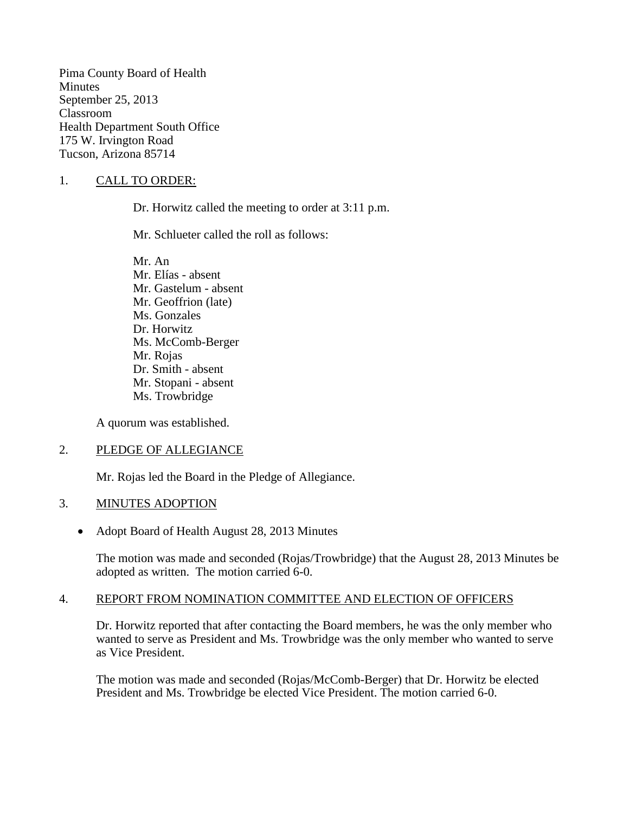Pima County Board of Health **Minutes** September 25, 2013 Classroom Health Department South Office 175 W. Irvington Road Tucson, Arizona 85714

## 1. CALL TO ORDER:

Dr. Horwitz called the meeting to order at 3:11 p.m.

Mr. Schlueter called the roll as follows:

Mr. An Mr. Elías - absent Mr. Gastelum - absent Mr. Geoffrion (late) Ms. Gonzales Dr. Horwitz Ms. McComb-Berger Mr. Rojas Dr. Smith - absent Mr. Stopani - absent Ms. Trowbridge

A quorum was established.

#### 2. PLEDGE OF ALLEGIANCE

Mr. Rojas led the Board in the Pledge of Allegiance.

#### 3. MINUTES ADOPTION

• Adopt Board of Health August 28, 2013 Minutes

The motion was made and seconded (Rojas/Trowbridge) that the August 28, 2013 Minutes be adopted as written. The motion carried 6-0.

## 4. REPORT FROM NOMINATION COMMITTEE AND ELECTION OF OFFICERS

Dr. Horwitz reported that after contacting the Board members, he was the only member who wanted to serve as President and Ms. Trowbridge was the only member who wanted to serve as Vice President.

The motion was made and seconded (Rojas/McComb-Berger) that Dr. Horwitz be elected President and Ms. Trowbridge be elected Vice President. The motion carried 6-0.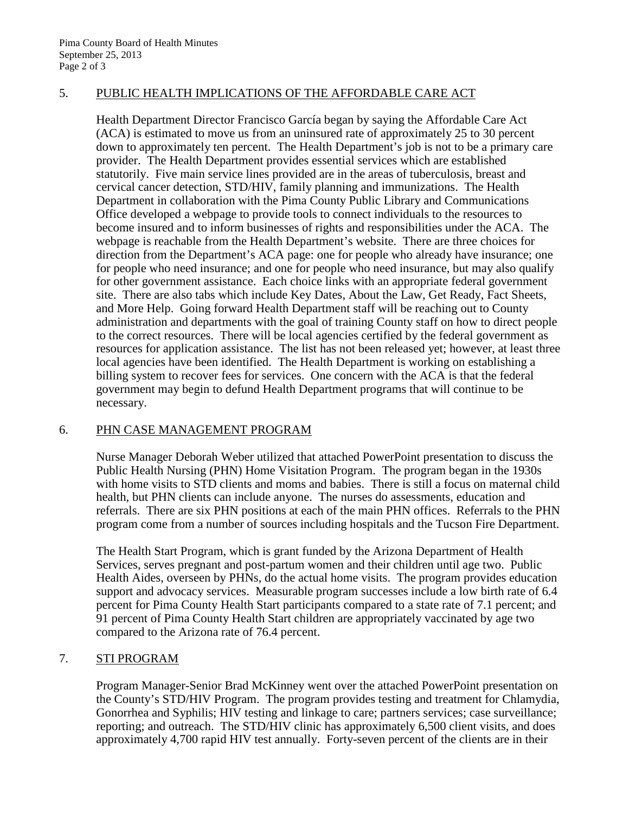# 5. PUBLIC HEALTH IMPLICATIONS OF THE AFFORDABLE CARE ACT

Health Department Director Francisco García began by saying the Affordable Care Act (ACA) is estimated to move us from an uninsured rate of approximately 25 to 30 percent down to approximately ten percent. The Health Department's job is not to be a primary care provider. The Health Department provides essential services which are established statutorily. Five main service lines provided are in the areas of tuberculosis, breast and cervical cancer detection, STD/HIV, family planning and immunizations. The Health Department in collaboration with the Pima County Public Library and Communications Office developed a webpage to provide tools to connect individuals to the resources to become insured and to inform businesses of rights and responsibilities under the ACA. The webpage is reachable from the Health Department's website. There are three choices for direction from the Department's ACA page: one for people who already have insurance; one for people who need insurance; and one for people who need insurance, but may also qualify for other government assistance. Each choice links with an appropriate federal government site. There are also tabs which include Key Dates, About the Law, Get Ready, Fact Sheets, and More Help. Going forward Health Department staff will be reaching out to County administration and departments with the goal of training County staff on how to direct people to the correct resources. There will be local agencies certified by the federal government as resources for application assistance. The list has not been released yet; however, at least three local agencies have been identified. The Health Department is working on establishing a billing system to recover fees for services. One concern with the ACA is that the federal government may begin to defund Health Department programs that will continue to be necessary.

#### 6. PHN CASE MANAGEMENT PROGRAM

Nurse Manager Deborah Weber utilized that attached PowerPoint presentation to discuss the Public Health Nursing (PHN) Home Visitation Program. The program began in the 1930s with home visits to STD clients and moms and babies. There is still a focus on maternal child health, but PHN clients can include anyone. The nurses do assessments, education and referrals. There are six PHN positions at each of the main PHN offices. Referrals to the PHN program come from a number of sources including hospitals and the Tucson Fire Department.

The Health Start Program, which is grant funded by the Arizona Department of Health Services, serves pregnant and post-partum women and their children until age two. Public Health Aides, overseen by PHNs, do the actual home visits. The program provides education support and advocacy services. Measurable program successes include a low birth rate of 6.4 percent for Pima County Health Start participants compared to a state rate of 7.1 percent; and 91 percent of Pima County Health Start children are appropriately vaccinated by age two compared to the Arizona rate of 76.4 percent.

#### 7. STI PROGRAM

Program Manager-Senior Brad McKinney went over the attached PowerPoint presentation on the County's STD/HIV Program. The program provides testing and treatment for Chlamydia, Gonorrhea and Syphilis; HIV testing and linkage to care; partners services; case surveillance; reporting; and outreach. The STD/HIV clinic has approximately 6,500 client visits, and does approximately 4,700 rapid HIV test annually. Forty-seven percent of the clients are in their